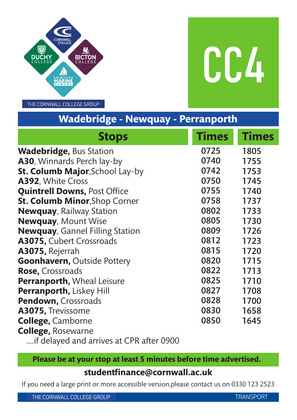

CC4

THE CORNWALL COLLEGE GROUP

# **Wadebridge - Newquay - Perranporth**

| <b>Stops</b>                             | <b>Times</b> | <b>Times</b> |
|------------------------------------------|--------------|--------------|
| <b>Wadebridge, Bus Station</b>           | 0725         | 1805         |
| A30, Winnards Perch lay-by               | 0740         | 1755         |
| <b>St. Columb Major, School Lay-by</b>   | 0742         | 1753         |
| A392, White Cross                        | 0750         | 1745         |
| <b>Quintrell Downs, Post Office</b>      | 0755         | 1740         |
| <b>St. Columb Minor, Shop Corner</b>     | 0758         | 1737         |
| <b>Newquay, Railway Station</b>          | 0802         | 1733         |
| <b>Newquay, Mount Wise</b>               | 0805         | 1730         |
| <b>Newquay, Gannel Filling Station</b>   | 0809         | 1726         |
| A3075, Cubert Crossroads                 | 0812         | 1723         |
| A3075, Rejerrah                          | 0815         | 1720         |
| <b>Goonhavern, Outside Pottery</b>       | 0820         | 1715         |
| Rose, Crossroads                         | 0822         | 1713         |
| <b>Perranporth, Wheal Leisure</b>        | 0825         | 1710         |
| <b>Perranporth, Liskey Hill</b>          | 0827         | 1708         |
| <b>Pendown, Crossroads</b>               | 0828         | 1700         |
| A3075, Trevissome                        | 0830         | 1658         |
| <b>College, Camborne</b>                 | 0850         | 1645         |
| <b>College, Rosewarne</b>                |              |              |
| if delayed and arrives at CPR after 0900 |              |              |

# **Please be at your stop at least 5 minutes before time advertised.**

### **studentfinance@cornwall.ac.uk**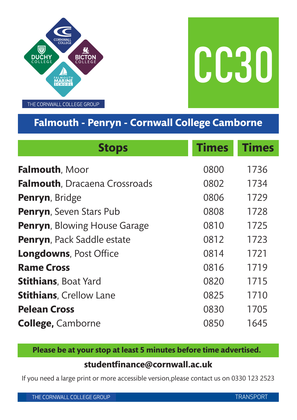

CC30

# **Falmouth - Penryn - Cornwall College Camborne**

| <b>Stops</b>                         | <b>Times</b> | <b>Times</b> |
|--------------------------------------|--------------|--------------|
| <b>Falmouth, Moor</b>                | 0800         | 1736         |
| <b>Falmouth, Dracaena Crossroads</b> | 0802         | 1734         |
| Penryn, Bridge                       | 0806         | 1729         |
| Penryn, Seven Stars Pub              | 0808         | 1728         |
| <b>Penryn, Blowing House Garage</b>  | 0810         | 1725         |
| Penryn, Pack Saddle estate           | 0812         | 1723         |
| <b>Longdowns, Post Office</b>        | 0814         | 1721         |
| <b>Rame Cross</b>                    | 0816         | 1719         |
| <b>Stithians</b> , Boat Yard         | 0820         | 1715         |
| <b>Stithians, Crellow Lane</b>       | 0825         | 1710         |
| <b>Pelean Cross</b>                  | 0830         | 1705         |
| <b>College, Camborne</b>             | 0850         | 1645         |

**Please be at your stop at least 5 minutes before time advertised.**

### **studentfinance@cornwall.ac.uk**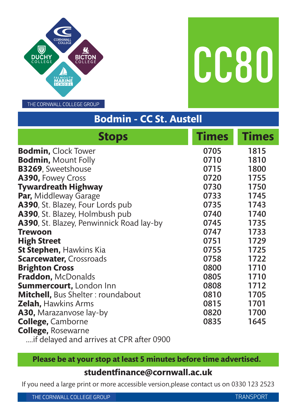

CC80

THE CORNWALL COLLEGE GROUP

# **Bodmin - CC St. Austell**

| <b>Stops</b>                                     | <b>Times</b> | <b>Times</b> |
|--------------------------------------------------|--------------|--------------|
| <b>Bodmin, Clock Tower</b>                       | 0705         | 1815         |
| <b>Bodmin, Mount Folly</b>                       | 0710         | 1810         |
| <b>B3269, Sweetshouse</b>                        | 0715         | 1800         |
| A390, Fowey Cross                                | 0720         | 1755         |
| <b>Tywardreath Highway</b>                       | 0730         | 1750         |
| <b>Par, Middleway Garage</b>                     | 0733         | 1745         |
| A390, St. Blazey, Four Lords pub                 | 0735         | 1743         |
| A390, St. Blazey, Holmbush pub                   | 0740         | 1740         |
| <b>A390</b> , St. Blazey, Penwinnick Road lay-by | 0745         | 1735         |
| <b>Trewoon</b>                                   | 0747         | 1733         |
| <b>High Street</b>                               | 0751         | 1729         |
| <b>St Stephen, Hawkins Kia</b>                   | 0755         | 1725         |
| <b>Scarcewater, Crossroads</b>                   | 0758         | 1722         |
| <b>Brighton Cross</b>                            | 0800         | 1710         |
| Fraddon, McDonalds                               | 0805         | 1710         |
| <b>Summercourt, London Inn</b>                   | 0808         | 1712         |
| <b>Mitchell, Bus Shelter: roundabout</b>         | 0810         | 1705         |
| <b>Zelah, Hawkins Arms</b>                       | 0815         | 1701         |
| <b>A30, Marazanvose lay-by</b>                   | 0820         | 1700         |
| <b>College, Camborne</b>                         | 0835         | 1645         |
| <b>College, Rosewarne</b>                        |              |              |
| if delayed and arrives at CPR after 0900         |              |              |

# **Please be at your stop at least 5 minutes before time advertised.**

### **studentfinance@cornwall.ac.uk**